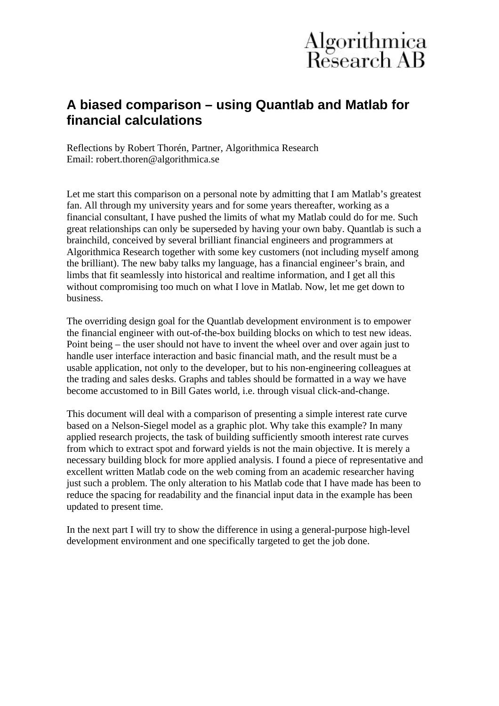### **A biased comparison – using Quantlab and Matlab for financial calculations**

Reflections by Robert Thorén, Partner, Algorithmica Research Email: robert.thoren@algorithmica.se

Let me start this comparison on a personal note by admitting that I am Matlab's greatest fan. All through my university years and for some years thereafter, working as a financial consultant, I have pushed the limits of what my Matlab could do for me. Such great relationships can only be superseded by having your own baby. Quantlab is such a brainchild, conceived by several brilliant financial engineers and programmers at Algorithmica Research together with some key customers (not including myself among the brilliant). The new baby talks my language, has a financial engineer's brain, and limbs that fit seamlessly into historical and realtime information, and I get all this without compromising too much on what I love in Matlab. Now, let me get down to business.

The overriding design goal for the Quantlab development environment is to empower the financial engineer with out-of-the-box building blocks on which to test new ideas. Point being – the user should not have to invent the wheel over and over again just to handle user interface interaction and basic financial math, and the result must be a usable application, not only to the developer, but to his non-engineering colleagues at the trading and sales desks. Graphs and tables should be formatted in a way we have become accustomed to in Bill Gates world, i.e. through visual click-and-change.

This document will deal with a comparison of presenting a simple interest rate curve based on a Nelson-Siegel model as a graphic plot. Why take this example? In many applied research projects, the task of building sufficiently smooth interest rate curves from which to extract spot and forward yields is not the main objective. It is merely a necessary building block for more applied analysis. I found a piece of representative and excellent written Matlab code on the web coming from an academic researcher having just such a problem. The only alteration to his Matlab code that I have made has been to reduce the spacing for readability and the financial input data in the example has been updated to present time.

In the next part I will try to show the difference in using a general-purpose high-level development environment and one specifically targeted to get the job done.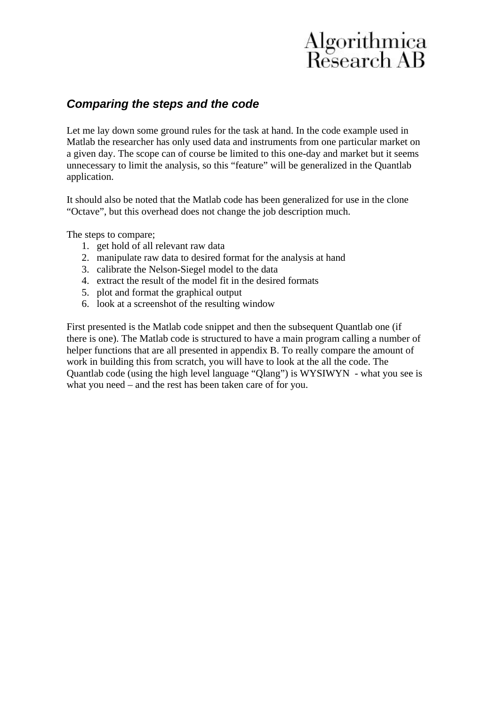#### *Comparing the steps and the code*

Let me lay down some ground rules for the task at hand. In the code example used in Matlab the researcher has only used data and instruments from one particular market on a given day. The scope can of course be limited to this one-day and market but it seems unnecessary to limit the analysis, so this "feature" will be generalized in the Quantlab application.

It should also be noted that the Matlab code has been generalized for use in the clone "Octave", but this overhead does not change the job description much.

The steps to compare;

- 1. get hold of all relevant raw data
- 2. manipulate raw data to desired format for the analysis at hand
- 3. calibrate the Nelson-Siegel model to the data
- 4. extract the result of the model fit in the desired formats
- 5. plot and format the graphical output
- 6. look at a screenshot of the resulting window

First presented is the Matlab code snippet and then the subsequent Quantlab one (if there is one). The Matlab code is structured to have a main program calling a number of helper functions that are all presented in appendix B. To really compare the amount of work in building this from scratch, you will have to look at the all the code. The Quantlab code (using the high level language "Qlang") is WYSIWYN - what you see is what you need – and the rest has been taken care of for you.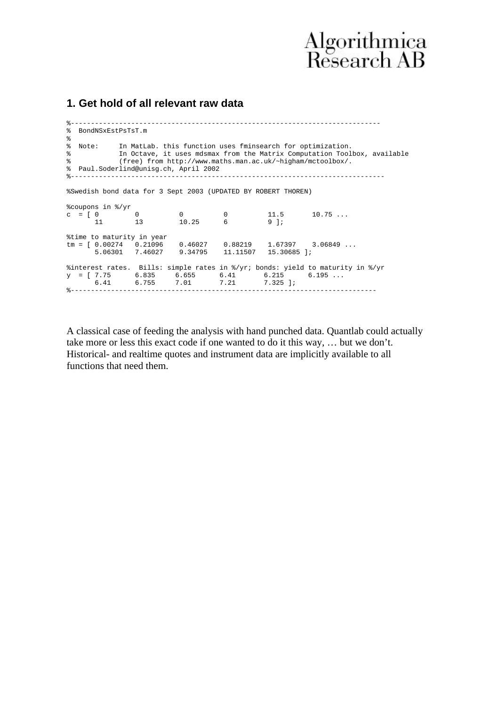#### **1. Get hold of all relevant raw data**

%----------------------------------------------------------------------------- % BondNSxEstPsTsT.m % % Note: In MatLab. this function uses fminsearch for optimization. % Note: In Addison the Christmas mass of the Matrix Computation Toolbox, available % (free) from http://www.maths.man.ac.uk/~higham/mctoolbox/. % Paul.Soderlind@unisg.ch, April 2002 %------------------------------------------------------------------------------ %Swedish bond data for 3 Sept 2003 (UPDATED BY ROBERT THOREN) %coupons in %/yr  $c = [ 0 0 0 0 11.5 10.75 ...$  11 13 10.25 6 9 ]; %time to maturity in year tm = [ 0.00274 0.21096 0.46027 0.88219 1.67397 3.06849 ... 5.06301 7.46027 9.34795 11.11507 15.30685 ]; %interest rates. Bills: simple rates in %/yr; bonds: yield to maturity in %/yr  $y = [7.75 \t 6.835 \t 6.655 \t 6.41 \t 6.215 \t 6.195 \ldots]$  6.41 6.755 7.01 7.21 7.325 ]; %----------------------------------------------------------------------------

A classical case of feeding the analysis with hand punched data. Quantlab could actually take more or less this exact code if one wanted to do it this way, … but we don't. Historical- and realtime quotes and instrument data are implicitly available to all functions that need them.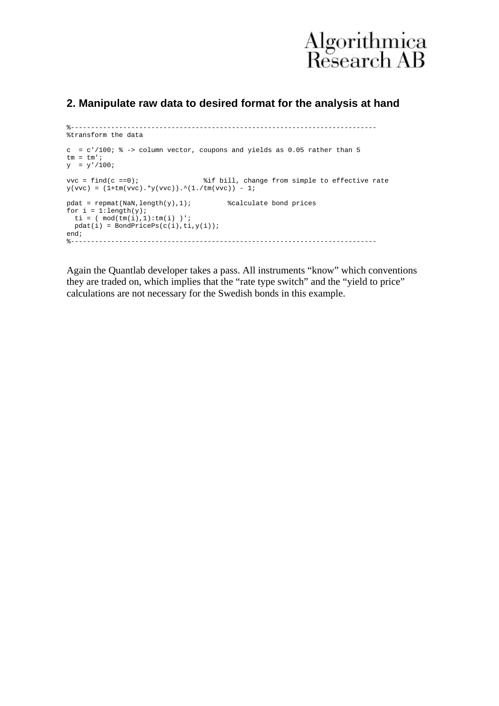

#### **2. Manipulate raw data to desired format for the analysis at hand**

```
%----------------------------------------------------------------------------
%transform the data
c = c'/100; \frac{1}{6} -> column vector, coupons and yields as 0.05 rather than 5
tm = tm';
y = y'/100ivvc = find(c ==0); %if bill, change from simple to effective rate
y(vvc) = (1+tm(vvc). *y(vvc)).^(1./tm(vvc)) - 1;pdat = repmat(NaN, length(y), 1); %calculate bond prices
for i = 1: length(y);
 ti = (\mod(\text{tm}(i),1):\text{tm}(i))pdat(i) = BondPricePs(c(i), ti, y(i));end;
%----------------------------------------------------------------------------
```
Again the Quantlab developer takes a pass. All instruments "know" which conventions they are traded on, which implies that the "rate type switch" and the "yield to price" calculations are not necessary for the Swedish bonds in this example.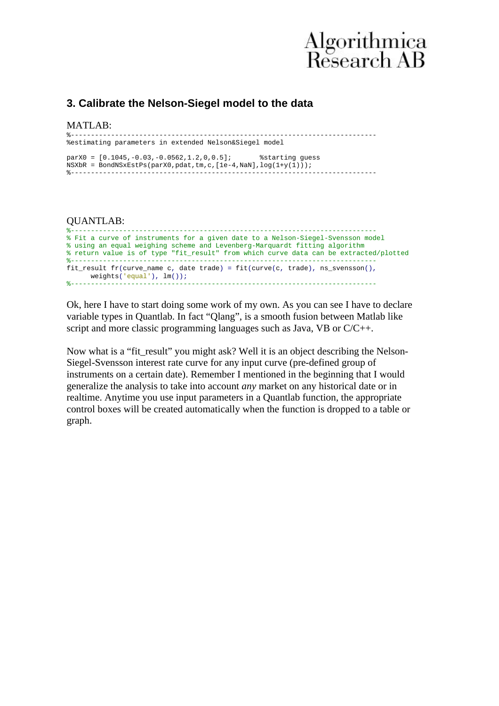#### **3. Calibrate the Nelson-Siegel model to the data**

#### MATLAB:

| %estimating parameters in extended Nelson&Siegel model                   |  |  |  |  |
|--------------------------------------------------------------------------|--|--|--|--|
|                                                                          |  |  |  |  |
| $\text{parX0} = [0.1045, -0.03, -0.0562, 1.2, 0, 0.5];$ & starting quess |  |  |  |  |
| NSXbR = BondNSxEstPs(parX0,pdat,tm,c, $[1e-4,$ NaN], $log(1+y(1))$ ;     |  |  |  |  |
|                                                                          |  |  |  |  |

#### QUANTLAB:

```
%----------------------------------------------------------------------------
% Fit a curve of instruments for a given date to a Nelson-Siegel-Svensson model
% using an equal weighing scheme and Levenberg-Marquardt fitting algorithm
% return value is of type "fit_result" from which curve data can be extracted/plotted
%----------------------------------------------------------------------------
fit_result fr(curve_name c, date trade) = fit(curve(c, trade), ns_svensson(),
     weight(s('equal')), lm());
                                       %----------------------------------------------------------------------------
```
Ok, here I have to start doing some work of my own. As you can see I have to declare variable types in Quantlab. In fact "Qlang", is a smooth fusion between Matlab like script and more classic programming languages such as Java, VB or C/C++.

Now what is a "fit\_result" you might ask? Well it is an object describing the Nelson-Siegel-Svensson interest rate curve for any input curve (pre-defined group of instruments on a certain date). Remember I mentioned in the beginning that I would generalize the analysis to take into account *any* market on any historical date or in realtime. Anytime you use input parameters in a Quantlab function, the appropriate control boxes will be created automatically when the function is dropped to a table or graph.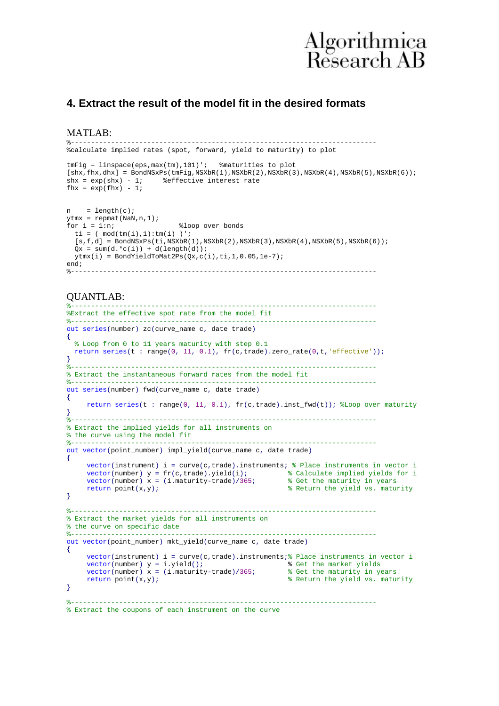

#### **4. Extract the result of the model fit in the desired formats**

MATLAB:

```
%----------------------------------------------------------------------------
%calculate implied rates (spot, forward, yield to maturity) to plot
tmFig = linspace(eps,max(tm),101)'; %maturities to plot
[\texttt{shx},\texttt{fhx},\texttt{dhx}] = \texttt{BondNSxPs}(\texttt{tmFig},\texttt{NSXbr}(1),\texttt{NSXbr}(2),\texttt{NSXbr}(3),\texttt{NSXbr}(4),\texttt{NSXbr}(5),\texttt{NSXbr}(6));<br>\texttt{shx} = \exp(\texttt{shx}) - 1; <br> &effective interest rate
                              % effective interest rate
fhx = exp(fhx) - 1;
n = length(c);ytmx = repmat(NaN,n,1);<br>for i = 1:n;%loop over bonds
  ti = (mod(tm(i),1):tm(i));
  [s,f,d] = \text{BondNSxPs}(\text{ti},\text{NSXbr}(1),\text{NSXbr}(2),\text{NSXbr}(3),\text{NSXbr}(4),\text{NSXbr}(5),\text{NSXbr}(6));Qx = sum(d.*c(i)) + d(lenqth(d));ytmx(i) = BondYieldToMat2Ps(Qx,c(i),ti,1,0.05,1e-7);
end:%----------------------------------------------------------------------------
```
#### QUANTLAB:

```
%----------------------------------------------------------------------------
%Extract the effective spot rate from the model fit
\bullet . The set of the set of the set of the set of the set of the set of the set of the set of the set of the set of the set of the set of the set of the set of the set of the set of the set of the set of the set of the s
out series(number) zc(curve_name c, date trade)
{
   % Loop from 0 to 11 years maturity with step 0.1
   return series(t : range(0, 11, 0.1), fr(c,trade).zero_rate(0,t,'effective'));
}
%----------------------------------------------------------------------------
% Extract the instantaneous forward rates from the model fit
%----------------------------------------------------------------------------
out series(number) fwd(curve_name c, date trade)
{
     return series(t : range(0, 11, 0.1), fr(c,trade).inst_fwd(t)); %Loop over maturity
}
                                   %----------------------------------------------------------------------------
% Extract the implied yields for all instruments on 
% the curve using the model fit
%----------------------------------------------------------------------------
out vector(point_number) impl_yield(curve_name c, date trade)
{
     vector(instrument) i = curve(c,trade).instruments; \frac{1}{2} Place instruments in vector i
     vector(number) y = fr(c, trade), yield(i);<br>vector(number) x = (i.maturity-trade)/365;<br>% Get the maturity in years
     vector(number) x = (i.maturity-trade)/365;<br>return point(x,y);
                                                                 % Return the vield vs. maturity
}
%----------------------------------------------------------------------------
% Extract the market yields for all instruments on 
% the curve on specific date
%----------------------------------------------------------------------------
out vector(point_number) mkt_yield(curve_name c, date trade)
{
     vector(instrument) i = curve(c,trade).instruments;% Place instruments in vector i<br>vector(number) y = i.yield(); % Get the market yields
                                                        % Get the market yields<br>% Get the maturity in years
     vector(number) x = (i.maturity-trade)/365;<br>return point(x,y);
                                                                 % Return the yield vs. maturity
}
%----------------------------------------------------------------------------
% Extract the coupons of each instrument on the curve
```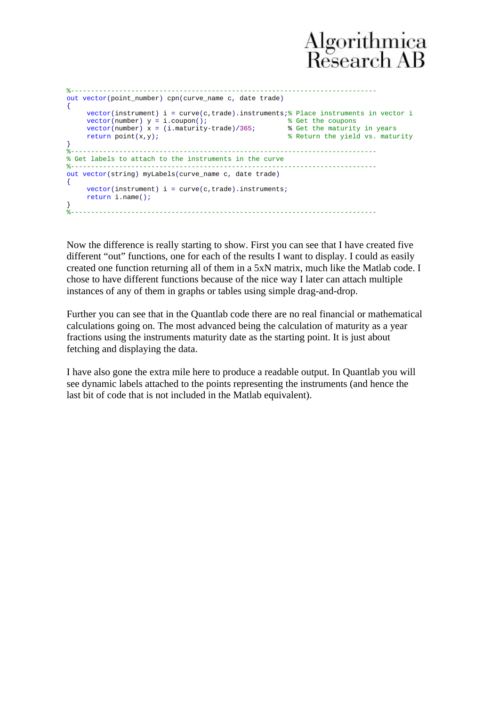```
%----------------------------------------------------------------------------
out vector(point_number) cpn(curve_name c, date trade)
{
    vector(instrument) i = curve(c,trade).instruments; \frac{1}{8} Place instruments in vector i
     vector(number) y = i.coupon(); % Get the coupons 
     vector(number) x = (i.maturity-trade)/365; % Get the maturity in years 
     return point(x,y); % Return the yield vs. maturity
}
%----------------------------------------------------------------------------
% Get labels to attach to the instruments in the curve
%----------------------------------------------------------------------------
out vector(string) myLabels(curve_name c, date trade)
{
    vector(instrument) i = curve(c, trade) .instrument;return i.name();
}
%----------------------------------------------------------------------------
```
Now the difference is really starting to show. First you can see that I have created five different "out" functions, one for each of the results I want to display. I could as easily created one function returning all of them in a 5xN matrix, much like the Matlab code. I chose to have different functions because of the nice way I later can attach multiple instances of any of them in graphs or tables using simple drag-and-drop.

Further you can see that in the Quantlab code there are no real financial or mathematical calculations going on. The most advanced being the calculation of maturity as a year fractions using the instruments maturity date as the starting point. It is just about fetching and displaying the data.

I have also gone the extra mile here to produce a readable output. In Quantlab you will see dynamic labels attached to the points representing the instruments (and hence the last bit of code that is not included in the Matlab equivalent).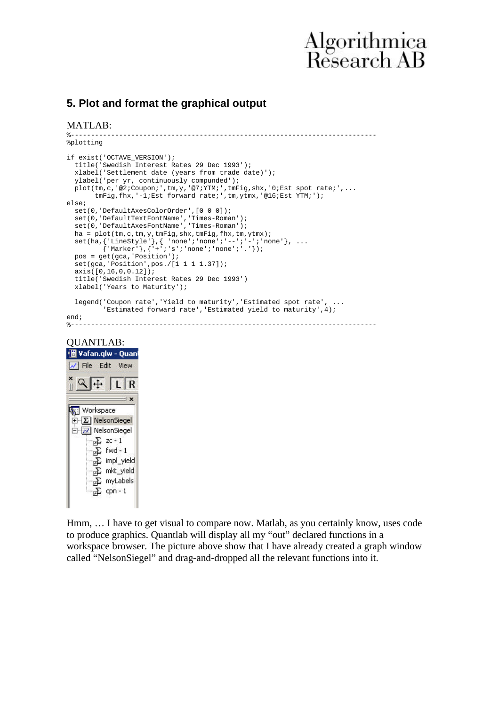#### **5. Plot and format the graphical output**

MATLAB:

```
%----------------------------------------------------------------------------
%plotting
if exist('OCTAVE_VERSION');
  title('Swedish Interest Rates 29 Dec 1993');
  xlabel('Settlement date (years from trade date)');
  ylabel('per yr, continuously compunded');
 plot(tm,c,'@2;Coupon;',tm,y,'@7;YTM;',tmFig,shx,'0;Est spot rate;',... tmFig,fhx,'-1;Est forward rate;',tm,ytmx,'@16;Est YTM;');
else;
  set(0,'DefaultAxesColorOrder',[0 0 0]);
  set(0,'DefaultTextFontName','Times-Roman');
  set(0,'DefaultAxesFontName','Times-Roman');
 ha = plot(tm,c,tm,y,tmFig,shx,tmFig,fhx,tm,ytmx);
set(ha,{'LineStyle'},{ 'none';'none';'--';'-';'none'}, ...
 {'Marker'},{'+';'s';'none';'none';'.'});
 pos = get(gca, 'Position');
 set(gca, 'Position', pos./[1 1 1 1.37]);
  axis([0,16,0,0.12]);
  title('Swedish Interest Rates 29 Dec 1993')
  xlabel('Years to Maturity');
 legend('Coupon rate','Yield to maturity','Estimated spot rate', ...
          'Estimated forward rate','Estimated yield to maturity',4);
end;<br>z=-
```
#### %----------------------------------------------------------------------------





Hmm, … I have to get visual to compare now. Matlab, as you certainly know, uses code to produce graphics. Quantlab will display all my "out" declared functions in a workspace browser. The picture above show that I have already created a graph window called "NelsonSiegel" and drag-and-dropped all the relevant functions into it.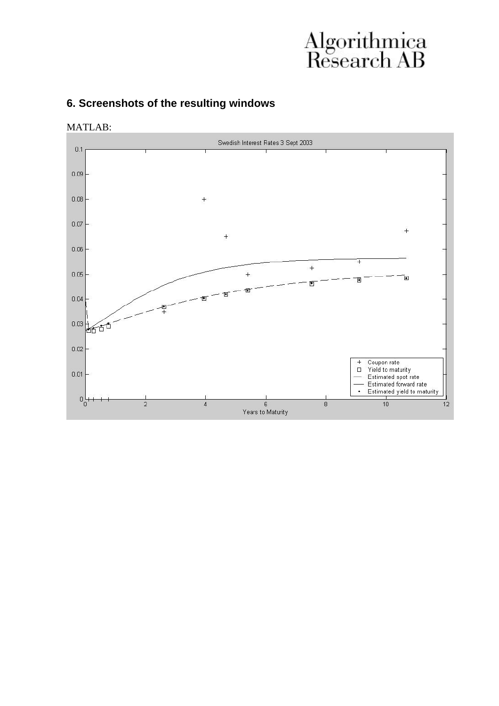### **6. Screenshots of the resulting windows**

MATLAB:

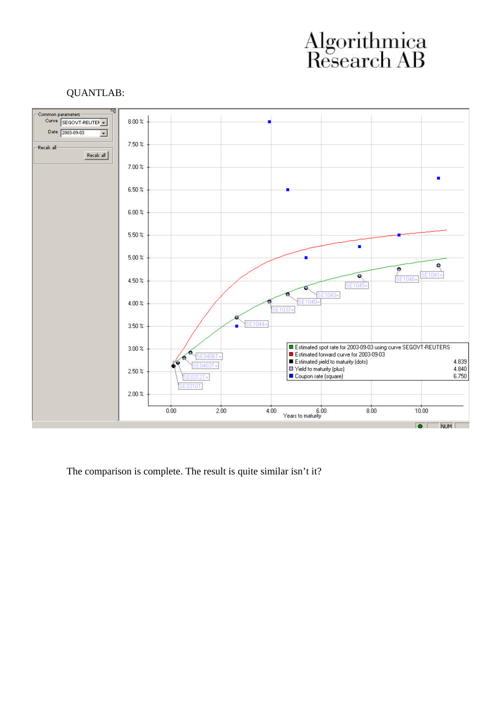#### QUANTLAB:



The comparison is complete. The result is quite similar isn't it?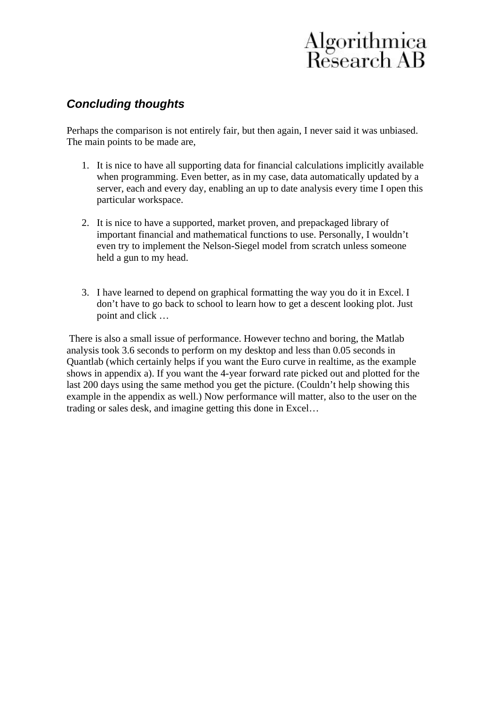### *Concluding thoughts*

Perhaps the comparison is not entirely fair, but then again, I never said it was unbiased. The main points to be made are,

- 1. It is nice to have all supporting data for financial calculations implicitly available when programming. Even better, as in my case, data automatically updated by a server, each and every day, enabling an up to date analysis every time I open this particular workspace.
- 2. It is nice to have a supported, market proven, and prepackaged library of important financial and mathematical functions to use. Personally, I wouldn't even try to implement the Nelson-Siegel model from scratch unless someone held a gun to my head.
- 3. I have learned to depend on graphical formatting the way you do it in Excel. I don't have to go back to school to learn how to get a descent looking plot. Just point and click …

 There is also a small issue of performance. However techno and boring, the Matlab analysis took 3.6 seconds to perform on my desktop and less than 0.05 seconds in Quantlab (which certainly helps if you want the Euro curve in realtime, as the example shows in appendix a). If you want the 4-year forward rate picked out and plotted for the last 200 days using the same method you get the picture. (Couldn't help showing this example in the appendix as well.) Now performance will matter, also to the user on the trading or sales desk, and imagine getting this done in Excel…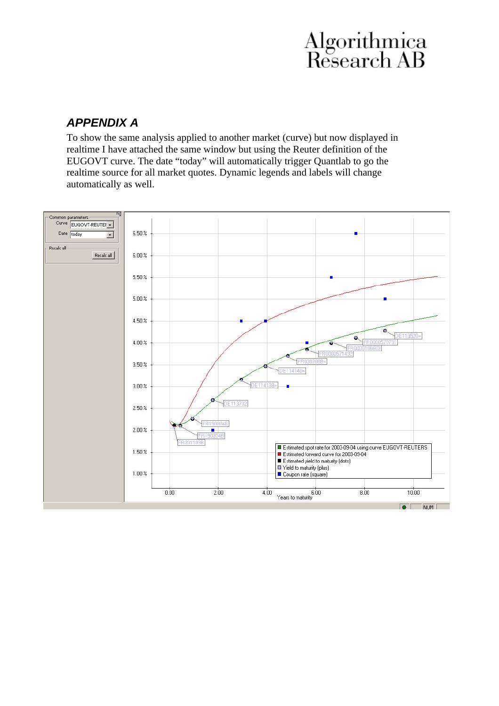### *APPENDIX A*

To show the same analysis applied to another market (curve) but now displayed in realtime I have attached the same window but using the Reuter definition of the EUGOVT curve. The date "today" will automatically trigger Quantlab to go the realtime source for all market quotes. Dynamic legends and labels will change automatically as well.

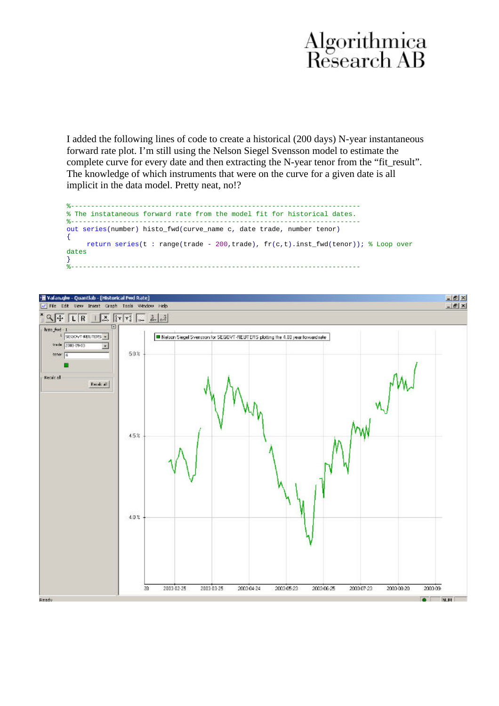I added the following lines of code to create a historical (200 days) N-year instantaneous forward rate plot. I'm still using the Nelson Siegel Svensson model to estimate the complete curve for every date and then extracting the N-year tenor from the "fit\_result". The knowledge of which instruments that were on the curve for a given date is all implicit in the data model. Pretty neat, no!?



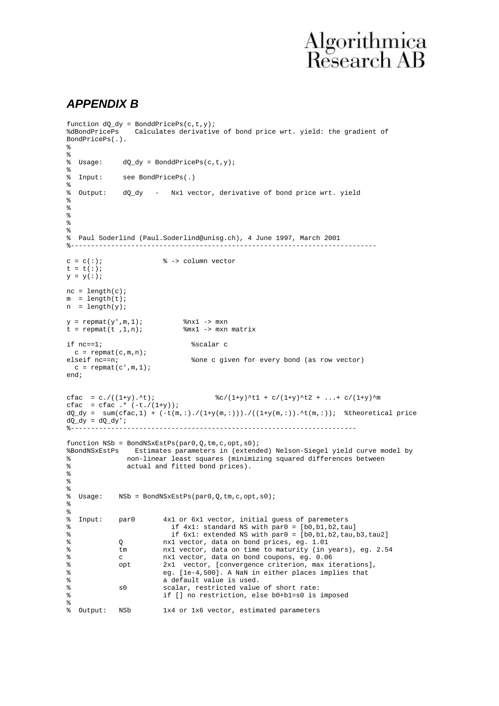#### *APPENDIX B*

```
function dQ_dy = BonddPricePs(c,t,y);
                 Calculates derivative of bond price wrt. yield: the gradient of
BondPricePs(.).
%
%<br>% Usage:
             dQ_dy = BonddPricePs(c,t,y);\epsilon% Input: see BondPricePs(.)
%
% Output: dQ_dy - Nx1 vector, derivative of bond price wrt. yield
%
%
%
\mathbf{S}%
% Paul Soderlind (Paul.Soderlind@unisg.ch), 4 June 1997, March 2001
%----------------------------------------------------------------------------
c = c(:); \frac{2}{3} -> column vector
t = t( : );\verb|y| = \verb|y| : ) ;
nc = length(c);m = length(t);n = length(y);y = \text{repmat}(y', m, 1); \text{snx1} \rightarrow \text{mxn}<br>t = repmat(t, 1, n); \text{smx1} \rightarrow \text{mxn} matrix
t = \text{repmat}(t, 1, n);if nc==1; %scalar c
  c = repmat(c, m, n);
elseif nc==n; %one c given for every bond (as row vector)
 c = \text{repmat}(c', m, 1);end;
cfac = c./((1+y).^t); \frac{8c}{(1+y)} + c/(1+y)^t2 + ...+ c/(1+y)^m
cfac = cfac \cdot ( -t \cdot / (1+y));
dQ_dy = sum(cfac,1) + (-t(m,:),(1+y(m,:))),(((1+y(m,:)),\text{`t}(m,:)); %theoretical price
dQ_dy = dQ_dy';
            %-----------------------------------------------------------------------
function NSb = BondNSxEstPs(par0,Q,tm,c,opt,s0);
%BondNSxEstPs Estimates parameters in (extended) Nelson-Siegel yield curve model by
% non-linear least squares (minimizing squared differences between
               actual and fitted bond prices).
%
\mathbf{S}%
% Usage: NSb = BondNSxEstPs(par0,Q,tm,c,opt,s0);
%
\mathbf{S}% Input: par0 4x1 or 6x1 vector, initial guess of paremeters<br>% if 4x1: standard NS with par0 = [b0.b1.b2.ta
                           if 4x1: standard NS with par0 = [b0,b1,b2,tau]% if 6x1: extended NS with par0 = [b0,b1,b2,tau,b3,tau2]
% Q nx1 vector, data on bond prices, eg. 1.01
% tm nx1 vector, data on time to maturity (in years), eg. 2.54
% c nx1 vector, data on bond coupons, eg. 0.06<br>% opt 2x1 vector. [convergence criterion. max i
              opt 2x1 vector, [convergence criterion, max iterations],
% eg. [1e-4,500]. A NaN in either places implies that<br>a default value is used
% a default value is used.<br>% a scalar, restricted value
% s0 scalar, restricted value of short rate:<br>% if I no restriction else h0+h1=s0 is
                         if [] no restriction, else b0+b1=s0 is imposed
%<br>%    Output:      NSb
                        1x4 or 1x6 vector, estimated parameters
```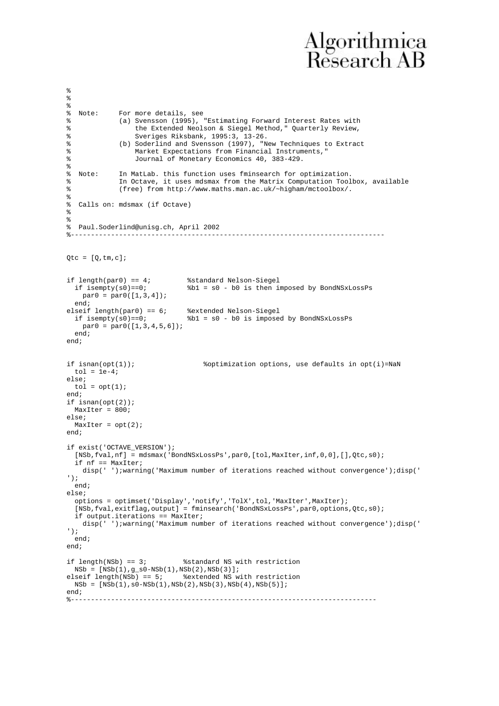```
\frac{6}{6}%<br>% Note:
              For more details, see
% (a) Svensson (1995), "Estimating Forward Interest Rates with
% the Extended Neolson & Siegel Method," Quarterly Review,
% Sveriges Riksbank, 1995:3, 13-26.<br>Millimd and Svensson (1997). "N
% (b) Soderlind and Svensson (1997), "New Techniques to Extract
% Market Expectations from Financial Instruments, "<br>Equipo 1 Monetary Economics 40, 383-429
                  Journal of Monetary Economics 40, 383-429.
%
% Note: In MatLab. this function uses fminsearch for optimization.
% In Octave, it uses mdsmax from the Matrix Computation Toolbox, available
% (free) from http://www.maths.man.ac.uk/~higham/mctoolbox/.
%
  Calls on: mdsmax (if Octave)
%
%
% Paul.Soderlind@unisg.ch, April 2002
                                         %------------------------------------------------------------------------------
Qtc = [Q,tm,c];if length(par0) == 4;<br>\frac{8 \text{standard Nelson-Siegel}}{12.2 \times 12.50 \times 12.50 \times 12.50} if isempty(s0)==0; %b1 = s0 - b0 is then imposed by BondNSxLossPs
   par0 = par0([1,3,4]); end;
elseif length(par0) == 6; %extended Nelson-Siegel<br>if isempty(s0) == 0; %b1 = s0 - b0 is imposed
                                b1 = s0 - b0 is imposed by BondNSxLossPs
    par0 = par0([1,3,4,5,6]);
   end;
end;
if isnan(opt(1)); \frac{1}{2} *optimization options, use defaults in opt(i)=NaN
 tol = le-4;else;
 tol = opt(1);
end;
if isnan(opt(2));
  MaxIter = 800;
else;
 MaxIter = opt(2);end;
if exist('OCTAVE_VERSION');
   [NSb,fval,nf] = mdsmax('BondNSxLossPs',par0,[tol,MaxIter,inf,0,0],[],Qtc,s0);
   if nf == MaxIter;
     disp(' ');warning('Maximum number of iterations reached without convergence');disp(' 
');
   end;
else;
  options = optimset('Display','notify','TolX',tol,'MaxIter',MaxIter);
   [NSb,fval,exitflag,output] = fminsearch('BondNSxLossPs',par0,options,Qtc,s0);
   if output.iterations == MaxIter;
     disp(' ');warning('Maximum number of iterations reached without convergence');disp(' 
');
  end;
end;
if length(NSb) == 3; %standard NS with restriction
  NSB = [NSB(1), g_s0-NSB(1),NSB(2),NSB(3)];
elseif length(NSb) == 5; %extended NS with restriction
 NSB = [NSB(1), s0-NSB(1), NSB(2), NSB(3), NSB(4), NSB(5)];
end;<br>z = -2%----------------------------------------------------------------------------
```
%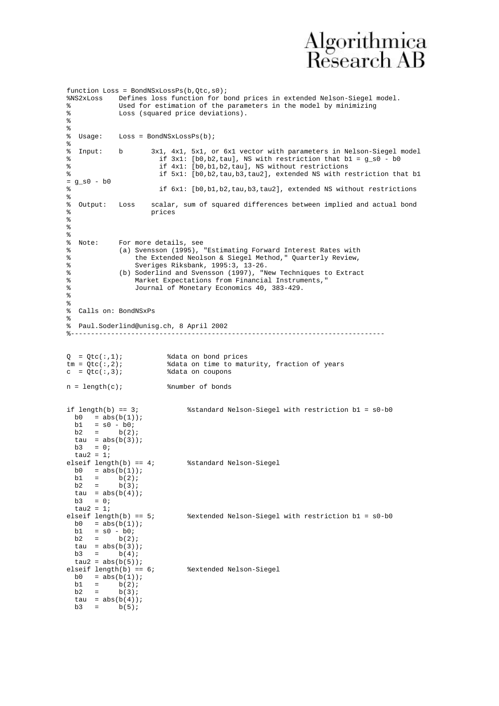```
function Loss = BondNSxLossPs(b,Qtc,s0);<br>%NS2xLoss  Defines loss function for b
%NS2xLoss Defines loss function for bond prices in extended Nelson-Siegel model.
% Used for estimation of the parameters in the model by minimizing<br>% Uses (squared price deviations)
             Loss (squared price deviations).
%
%<br>% Usage:
           Loss = BondNSxLossPs(b);%
% Input: b 3x1, 4x1, 5x1, or 6x1 vector with parameters in Nelson-Siegel model
                        if 3x1: [b0,b2,tau], NS with restriction that b1 = g_s0 - b0% if 4x1: [b0,b1,b2,tau], NS without restrictions<br>% if 5x1: [b0,b2,tau,b3,tau2], extended NS with re
                        if 5x1: [b0,b2,tau,b3,tau2], extended NS with restriction that b1
= g_s0 - b0
% if 6x1: [b0,b1,b2,tau,b3,tau2], extended NS without restrictions
%
% Output: Loss scalar, sum of squared differences between implied and actual bond
% prices
%
%
%<br>% Note:
% Note: For more details, see<br>% (a) Syensson (1995)
             (a) Svensson (1995), "Estimating Forward Interest Rates with
% the Extended Neolson & Siegel Method," Quarterly Review,
% Sveriges Riksbank, 1995:3, 13-26.<br>(b) Soderlind and Svensson (1997). "N
             (b) Soderlind and Svensson (1997), "New Techniques to Extract
% Market Expectations from Financial Instruments,"
% Journal of Monetary Economics 40, 383-429.
%
%
% Calls on: BondNSxPs
%
% Paul.Soderlind@unisg.ch, 8 April 2002
                                            %------------------------------------------------------------------------------
Q = Qtc(:,1); %data on bond prices<br>tm = Qtc(:,2); %data on time to matu
tm = Qtc(:,2);<br>
c = Qtc(:,3);<br>
data on coupons<br>
c = qtc(:,3);%data on coupons
n = length(c); %number of bonds
if length(b) == 3; %standard Nelson-Siegel with restriction b1 = s0-b0
 b0 = abs(b(1));
 b1 = s0 - b0;b2 = b(2);
 tau = abs(b(3));
 h3 = 0;tau2 = 1;<br>elseif length(b) == 4;
                             %standard Nelson-Siegel
 b0 = abs(b(1));b1 = b(2)ib2 = b(3);tau = abs(b(4));
 b3 = 0;tau2 = 1;<br>elseif length(b) == 5;
                               %extended Nelson-Siegel with restriction b1 = s0-b0
 b0 = abs(b(1));<br>b1 = s0 - b0;
      = s0 - b0;b2 = b(2);tau = abs(b(3));
 b3 = b(4);
tau2 = abs(b(5));<br>elseif length(b) == 6;
                               % extended Nelson-Siegel
 b0 = abs(b(1));
b1 = b(2);
b2 = b(3);
  tau = abs(b(4));
 b3 = b(5);
```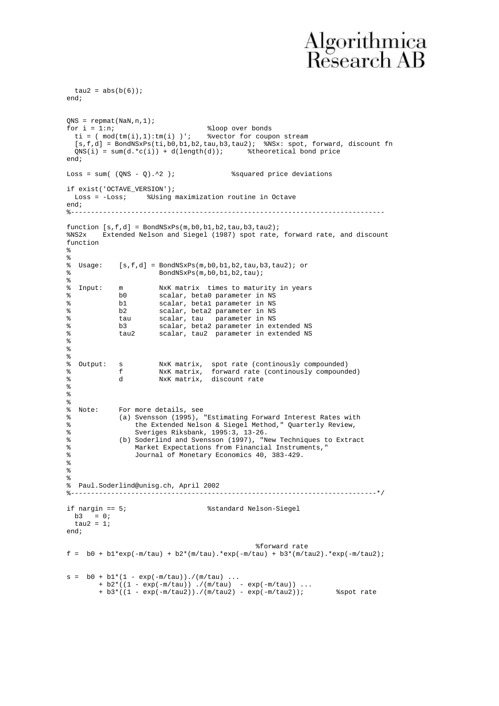```
tau2 = abs(b(6));
end;
QNS = repmat(NaN,n,1);
for i = 1:n; \text{8loop over bonds} ti = ( mod(tm(i),1):tm(i) )'; %vector for coupon stream
 [s, f, d] = BondNSxPs(ti, b0, b1, b2, tau, b3, tau2); & NSx: spot, forward, discount fn ONS(i) = sum(d.*c(i)) + d(lenth(d)); & theoretical bond price
 QNS(i) = sum(d.*c(i)) + d(length(d));end;
Loss = sum((QNS - Q) \cdot 2 ); %squared price deviations
if exist('OCTAVE_VERSION');
  Loss = -Loss; %Using maximization routine in Octave
end;
%------------------------------------------------------------------------------
function [s,f,d] = BondNSxPs(m,b0,b1,b2,tau,b3,tau2);
%NS2x Extended Nelson and Siegel (1987) spot rate, forward rate, and discount 
function
\mathbf{S}%
% Usage: [s, f, d] = \text{BondNSxPs}(\mathfrak{m}, b0, b1, b2, tau, b3, tau2); or \text{BondNSxPs}(\mathfrak{m}, b0, b1, b2, tau);BondNSxPs(m,b0,b1,b2,tau);
%
% Input: m NxK matrix times to maturity in years
% b0 scalar, beta0 parameter in NS
% b1 scalar, beta1 parameter in NS
% b2 scalar, beta2 parameter in NS
% tau scalar, tau parameter in NS
% b3 scalar, beta2 parameter in extended NS
% tau2 scalar, tau2 parameter in extended NS
%
%
%<br>% Output: s
% Output: s NxK matrix, spot rate (continously compounded)
% f NxK matrix, forward rate (continously compounded)
% d NxK matrix, discount rate
%
%
%
% Note: For more details, see
% (a) Svensson (1995), "Estimating Forward Interest Rates with
               the Extended Nelson & Siegel Method," Quarterly Review,
% Sveriges Riksbank, 1995:3, 13-26.
% (b) Soderlind and Svensson (1997), "New Techniques to Extract
% Market Expectations from Financial Instruments,"
% Journal of Monetary Economics 40, 383-429.
%
%
%
% Paul.Soderlind@unisg.ch, April 2002
%----------------------------------------------------------------------------*/
if nargin == 5; %standard Nelson-Siegel
 b3 = 0;tau2 = 1;
end;
                                            %forward rate
f = b0 + b1*exp(-m/tau) + b2*(m/tau).*exp(-m/tau) + b3*(m/tau2).*exp(-m/tau2);
s = b0 + b1*(1 - exp(-m/tau)) \cdot / (m/tau) \dots + b2*((1 - exp(-m/tau)) ./(m/tau) - exp(-m/tau)) ...
 + b3*((1 - exp(-m/tau2))./(m/tau2) - exp(-m/tau2)); %spot rate
```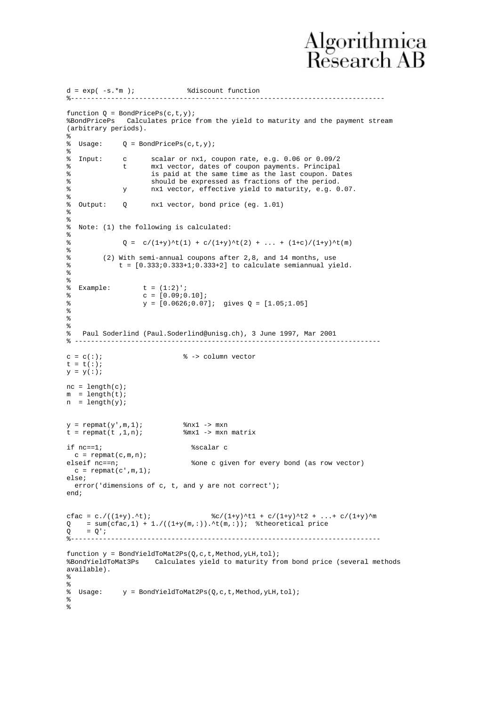```
d = exp( -s.*m ); %discount function
%------------------------------------------------------------------------------
function Q = BondPricePs(c,t,y);%BondPricePs Calculates price from the yield to maturity and the payment stream 
(arbitrary periods).
%
% Usage: 0 = BondPricePs(c,t,y);%<br>% Input:
             c scalar or nx1, coupon rate, e.g. 0.06 or 0.09/2
             t mx1 vector, dates of coupon payments. Principal
% is paid at the same time as the last coupon. Dates
% should be expressed as fractions of the period.
% y nx1 vector, effective yield to maturity, e.g. 0.07.
%<br>% Output:
           Q nx1 vector, bond price (eg. 1.01)
%
%
% Note: (1) the following is calculated:
%
              Q = c/(1+y)^{t}(1) + c/(1+y)^{t}(2) + ... + (1+c)/(1+y)^{t}(m)%
% (2) With semi-annual coupons after 2,8, and 14 months, use
% t = [0.333i0.333+1i0.333+2] to calculate semiannual yield.
%
\epsilon% Example: t = (1:2)';
\texttt{c} = [0.09; 0.10];% y = [0.0626;0.07]; gives Q = [1.05;1.05]
%
%
%
  Paul Soderlind (Paul.Soderlind@unisg.ch), 3 June 1997, Mar 2001
% ----------------------------------------------------------------------------
c = c(:); \frac{1}{6} -> column vector
t = t(:);y = y(:);nc = length(c);m = length(t);n = length(y);y = \text{repmat}(y', m, 1); \text{snx1} \rightarrow \text{mxn}<br>
t = \text{repmat}(t, 1, n); \text{smx1} \rightarrow \text{mxn} matrix
t = \text{repmat}(t, 1, n);if nc==1; %scalar c
c = repmat(c, m, n);<br>elseif nc == n;
                              %one c given for every bond (as row vector)
 c = \text{repmat}(c', m, 1);else;
   error('dimensions of c, t, and y are not correct');
end;
cfac = c./((1+y).^t); \frac{8c}{1+y} \frac{1}{t} + c/(1+y)^t2 + ...+ c/(1+y)^m
Q = sum(cfac,1) + 1. /((1+y(m,:)).^t(m,:)); %theoretical price
0 = 0'i%-----------------------------------------------------------------------------
function y = BondYieldToMat2Ps(Q,c,t,Method,yLH,tol);%BondYieldToMat3Ps Calculates yield to maturity from bond price (several methods 
available).
%
%<br>% Usage:
            y = BondYieldToMat2Ps(Q,c,t,Method,yLH,tol);%
\approx
```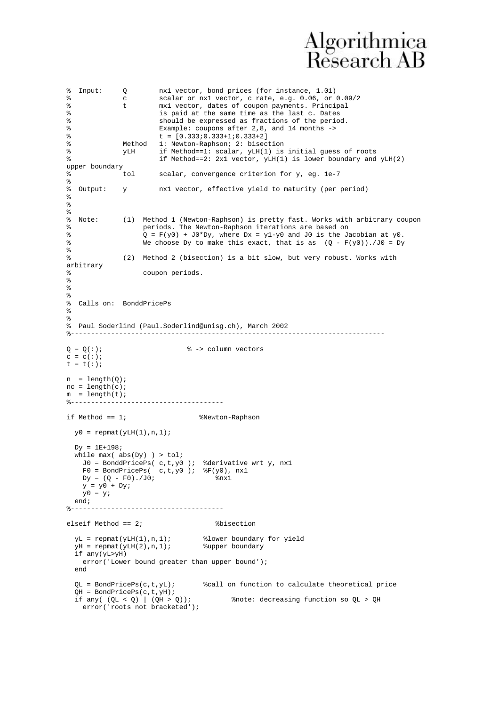% Input: Q nx1 vector, bond prices (for instance, 1.01) % c scalar or nx1 vector, c rate, e.g. 0.06, or 0.09/2<br>% t mx1 vector, dates of coupon payments. Principal % t mx1 vector, dates of coupon payments. Principal<br>% is paid at the same time as the last c. Dates is paid at the same time as the last c. Dates % should be expressed as fractions of the period. % Example: coupons after 2,8, and 14 months -> %  $t = [0.333; 0.333+1; 0.333+2]$ <br>% Method 1: Newton-Raphson; 2: bised % Method 1: Newton-Raphson; 2: bisection<br>% VLH if Method==1: scalar. vLH(1) is %  $YLH$  if Method==1: scalar,  $YLH(1)$  is initial guess of roots<br>% if Method==2: 2x1 yester  $YLH(1)$  is lower boundary and if Method==2: 2x1 vector,  $yLH(1)$  is lower boundary and  $yLH(2)$ upper boundary<br>% tol % tol scalar, convergence criterion for y, eg. 1e-7 % % Output: y nx1 vector, effective yield to maturity (per period)  $\tilde{S}$ % % % Note: (1) Method 1 (Newton-Raphson) is pretty fast. Works with arbitrary coupon % periods. The Newton-Raphson iterations are based on<br>% 0 =  $F(y0) + J0*Dy$ , where  $Dx = v1-v0$  and  $J0$  is the Ja %  $Q = F(y0) + J0*Dy$ , where  $Dx = y1-y0$  and  $J0$  is the Jacobian at  $y0$ .<br>We choose  $Dy$  to make this exact, that is as  $(0 - F(y0))$ ,  $J0 = Dy$ We choose Dy to make this exact, that is as  $(Q - F(y0))$ ./JO = Dy % % (2) Method 2 (bisection) is a bit slow, but very robust. Works with arbitrary % coupon periods. % % % % Calls on: BonddPricePs % % % Paul Soderlind (Paul.Soderlind@unisg.ch), March 2002 %------------------------------------------------------------------------------  $Q = Q(:);$ <br> $\frac{1}{2}$   $\frac{1}{2}$   $\frac{1}{2}$   $\frac{1}{2}$   $\frac{1}{2}$   $\frac{1}{2}$   $\frac{1}{2}$   $\frac{1}{2}$   $\frac{1}{2}$   $\frac{1}{2}$   $\frac{1}{2}$   $\frac{1}{2}$   $\frac{1}{2}$   $\frac{1}{2}$   $\frac{1}{2}$   $\frac{1}{2}$   $\frac{1}{2}$   $\frac{1}{2}$   $\frac{1}{2}$   $\frac{1}{2}$   $\frac{1}{2}$   $\frac$  $c = c(:);$  $t = t(:);$  $n = length(Q);$  $nc = length(c);$  $m = length(t);$ <br> $k = 1, 2, 3, ...$ %------------------------------------- if Method == 1; %Newton-Raphson  $y0 =$  repmat( $yLH(1), n, 1$ );  $Dv = 1F + 198$ while  $max($  abs(Dy)  $)$  > tol; J0 = BonddPricePs( c,t,y0 ); %derivative wrt y, nx1  $F0 = BondPricePs( c,t,y0 )$ ;  $\frac{8F(y0)}{100}$ , nx1  $Dy = (Q - F0) \cdot /J0$ ; \$nx1  $y = y0 + Dy$  $y0 = y;$  end; %------------------------------------- elseif Method == 2; %bisection  $yL = \text{repmat}(yLH(1),n,1);$  %lower boundary for yield  $yH = \text{repmat}(yLH(2), n, 1);$  %upper boundary if any(yL>yH) error('Lower bound greater than upper bound'); end  $QL = BondPricePs(c,t,yL);$  %call on function to calculate theoretical price  $QH = BondPricePs(c, t, yH);$ <br>if any(( $QL < Q$ ) |  $(QH > Q);$ %note: decreasing function so QL > QH error('roots not bracketed');